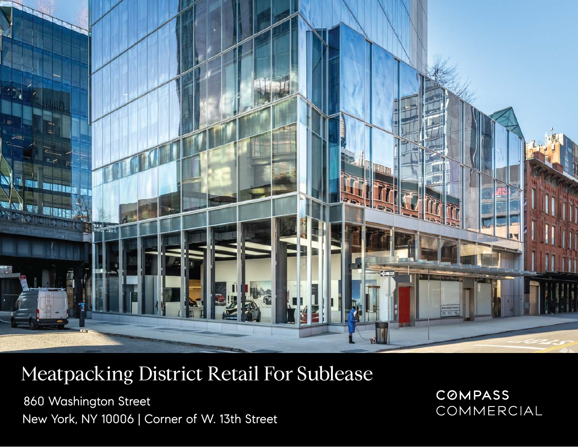

## Meatpacking District Retail For Sublease

860 Washington Street New York, NY 10006 | Corner of W. 13th Street **COMPASS** COMMERCIAL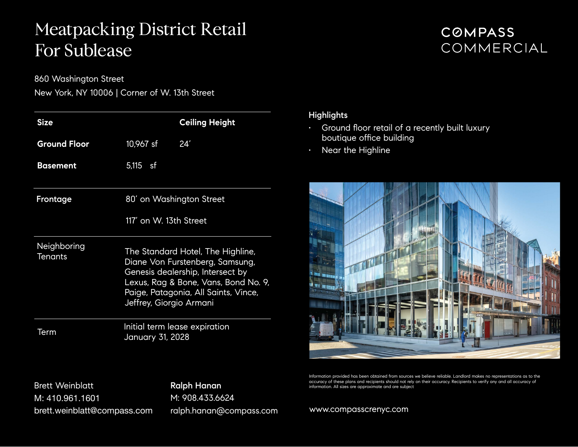### Meatpacking District Retail For Sublease

860 Washington Street

New York, NY 10006 | Corner of W. 13th Street

| <b>Size</b>                   |                                                                                                                                                                                                                     | <b>Ceiling Height</b> |
|-------------------------------|---------------------------------------------------------------------------------------------------------------------------------------------------------------------------------------------------------------------|-----------------------|
| <b>Ground Floor</b>           | 10,967 sf                                                                                                                                                                                                           | 24'                   |
| Basement                      | 5,115 sf                                                                                                                                                                                                            |                       |
| Frontage                      | 80' on Washington Street<br>117' on W. 13th Street                                                                                                                                                                  |                       |
|                               |                                                                                                                                                                                                                     |                       |
| Neighboring<br><b>Tenants</b> | The Standard Hotel, The Highline,<br>Diane Von Furstenberg, Samsung,<br>Genesis dealership, Intersect by<br>Lexus, Rag & Bone, Vans, Bond No. 9,<br>Paige, Patagonia, All Saints, Vince,<br>Jeffrey, Giorgio Armani |                       |
| Term                          | Initial term lease expiration<br>January 31, 2028                                                                                                                                                                   |                       |

#### **COMPASS** COMMERCIAL

#### **Highlights**

- Ground floor retail of a recently built luxury boutique office building
- $\cdot$  Near the Highline



Information provided has been obtained from sources we believe reliable. Landlord makes no representations as to the accuracy of these plans and recipients should not rely on their accuracy. Recipients to verify any and all accuracy of information. All sizes are approximate and are subject

Brett Weinblatt M: 410.961.1601 brett.weinblatt@compass.com Ralph Hanan M: 908.433.6624 ralph.hanan@compass.com

[www.compasscrenyc.com](http://www.compasscrenyc.com)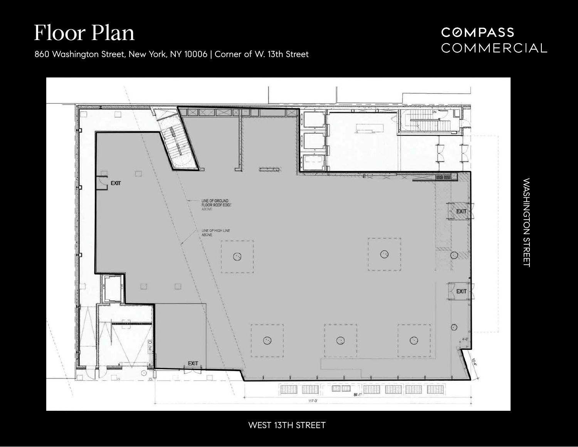# Floor Plan

### COMPASS COMMERCIAL

860 Washington Street, New York, NY 10006 | Corner of W. 13th Street



WEST 13TH STREET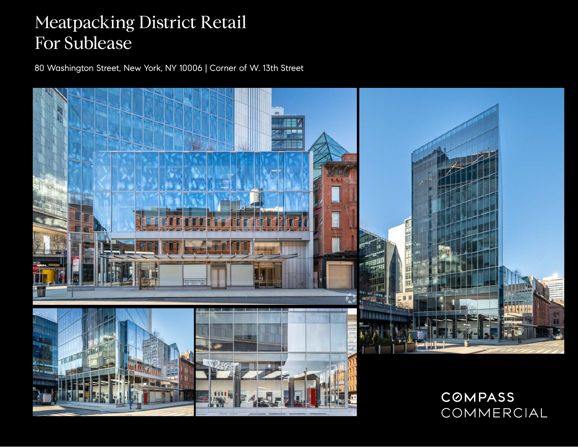## Meatpacking District Retail For Sublease

80 Washington Street, New York, NY 10006 | Corner of W. 13th Street



COMMERCIAL